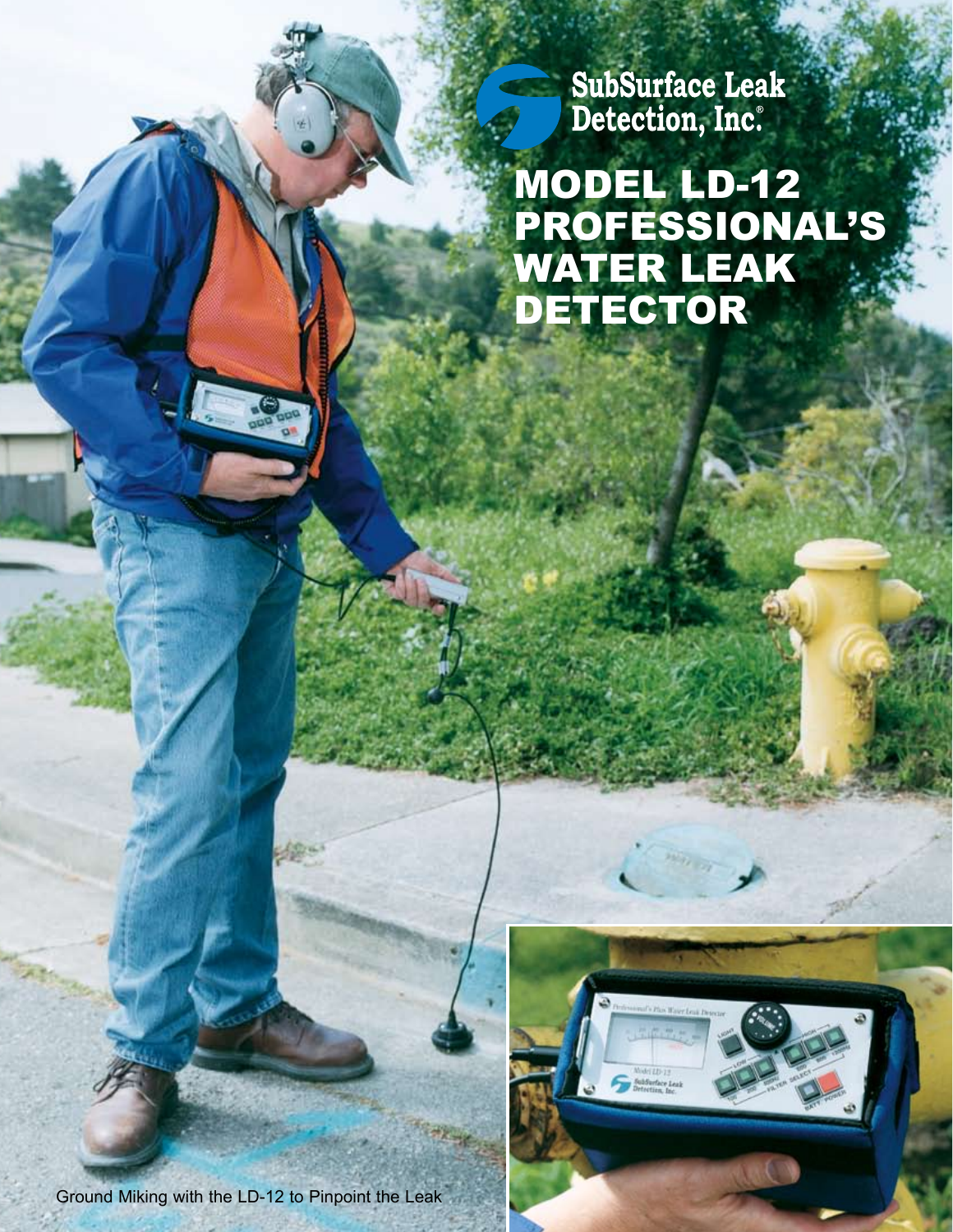SubSurface Leak<br>Detection, Inc.

 MODEL LD-12 PROFESSIONAL'S WATER LEAK DETECTOR 



Ground Miking with the LD-12 to Pinpoint the Leak